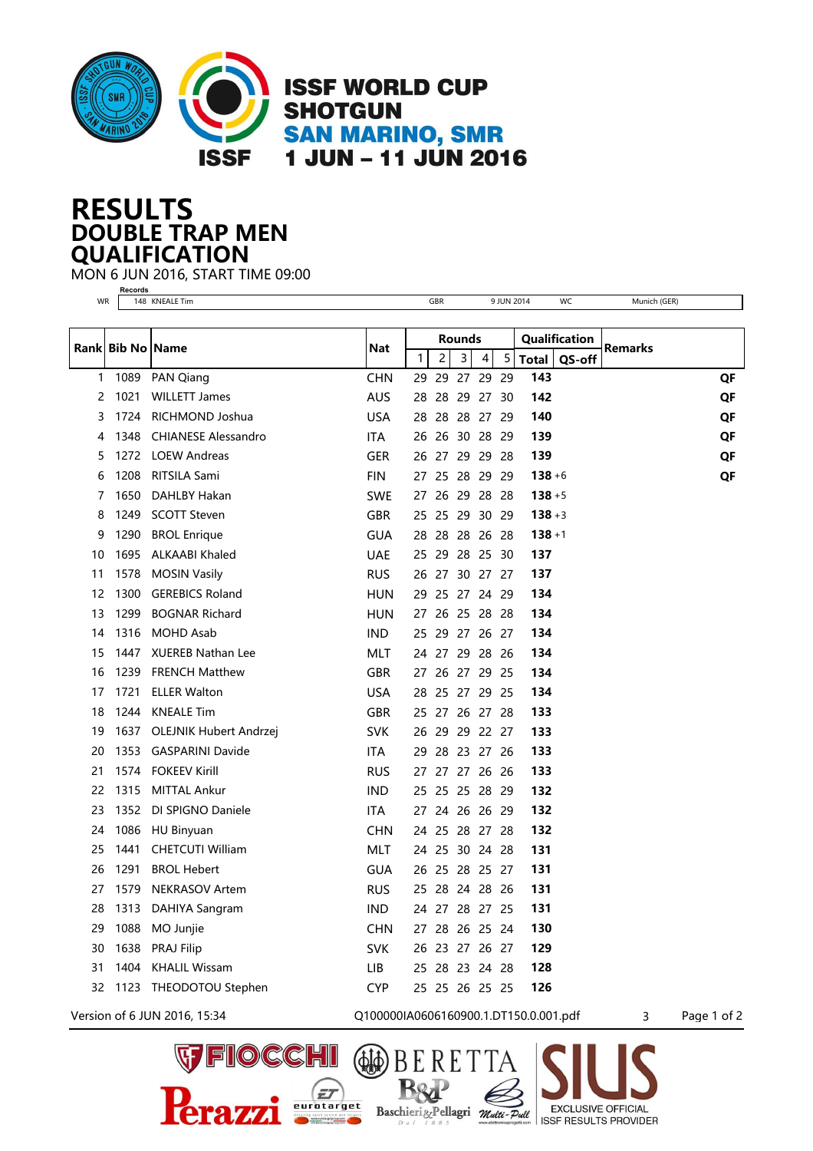

## **DOUBLE TRAP MEN RESULTS QUALIFICATION**

**Records**

MON 6 JUN 2016, START TIME 09:00

(PJ4

Baschieri&Pellagri Multi-Pull

 $\bar{z}$ eurotarget

**EXCLUSIVE OFFICIAL** 

**ISSF RESULTS PROVIDER**